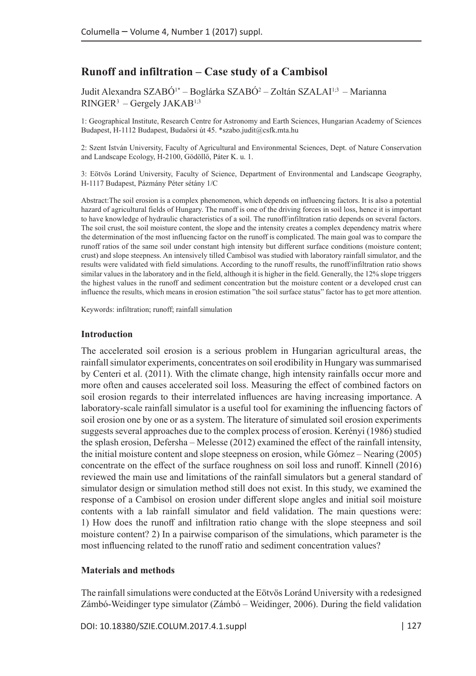# **Runoff and infiltration – Case study of a Cambisol**

Judit Alexandra SZABÓ<sup>1\*</sup> – Boglárka SZABÓ<sup>2</sup> – Zoltán SZALAI<sup>1;3</sup> – Marianna  $RINGER<sup>3</sup> - Gergely JAKAB<sup>1;3</sup>$ 

1: Geographical Institute, Research Centre for Astronomy and Earth Sciences, Hungarian Academy of Sciences Budapest, H-1112 Budapest, Budaörsi út 45. \*szabo.judit@csfk.mta.hu

2: Szent István University, Faculty of Agricultural and Environmental Sciences, Dept. of Nature Conservation and Landscape Ecology, H-2100, Gödöllő, Páter K. u. 1.

3: Eötvös Loránd University, Faculty of Science, Department of Environmental and Landscape Geography, H-1117 Budapest, Pázmány Péter sétány 1/C

Abstract:The soil erosion is a complex phenomenon, which depends on influencing factors. It is also a potential hazard of agricultural fields of Hungary. The runoff is one of the driving forces in soil loss, hence it is important to have knowledge of hydraulic characteristics of a soil. The runoff/infiltration ratio depends on several factors. The soil crust, the soil moisture content, the slope and the intensity creates a complex dependency matrix where the determination of the most influencing factor on the runoff is complicated. The main goal was to compare the runoff ratios of the same soil under constant high intensity but different surface conditions (moisture content; crust) and slope steepness. An intensively tilled Cambisol was studied with laboratory rainfall simulator, and the results were validated with field simulations. According to the runoff results, the runoff/infiltration ratio shows similar values in the laboratory and in the field, although it is higher in the field. Generally, the 12% slope triggers the highest values in the runoff and sediment concentration but the moisture content or a developed crust can influence the results, which means in erosion estimation "the soil surface status" factor has to get more attention.

Keywords: infiltration; runoff; rainfall simulation

#### **Introduction**

The accelerated soil erosion is a serious problem in Hungarian agricultural areas, the rainfall simulator experiments, concentrates on soil erodibility in Hungary was summarised by Centeri et al. (2011). With the climate change, high intensity rainfalls occur more and more often and causes accelerated soil loss. Measuring the effect of combined factors on soil erosion regards to their interrelated influences are having increasing importance. A laboratory-scale rainfall simulator is a useful tool for examining the influencing factors of soil erosion one by one or as a system. The literature of simulated soil erosion experiments suggests several approaches due to the complex process of erosion. Kerényi (1986) studied the splash erosion, Defersha – Melesse (2012) examined the effect of the rainfall intensity, the initial moisture content and slope steepness on erosion, while Gómez – Nearing (2005) concentrate on the effect of the surface roughness on soil loss and runoff. Kinnell (2016) reviewed the main use and limitations of the rainfall simulators but a general standard of simulator design or simulation method still does not exist. In this study, we examined the response of a Cambisol on erosion under different slope angles and initial soil moisture contents with a lab rainfall simulator and field validation. The main questions were: 1) How does the runoff and infiltration ratio change with the slope steepness and soil moisture content? 2) In a pairwise comparison of the simulations, which parameter is the most influencing related to the runoff ratio and sediment concentration values?

### **Materials and methods**

The rainfall simulations were conducted at the Eötvös Loránd University with a redesigned Zámbó-Weidinger type simulator (Zámbó – Weidinger, 2006). During the field validation

DOI: 10.18380/SZIE.COLUM.2017.4.1.suppl | 127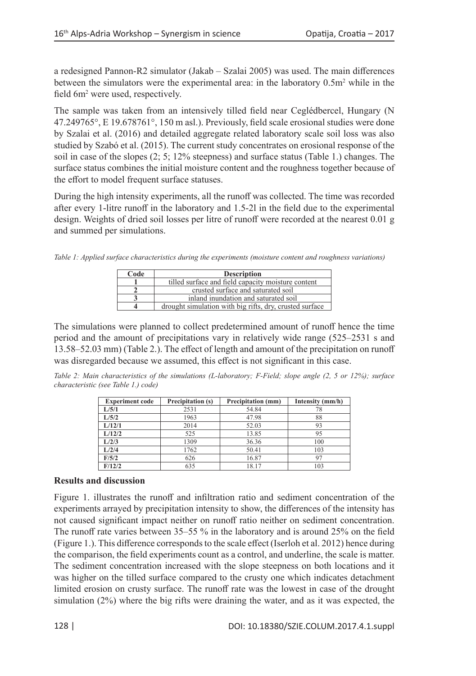a redesigned Pannon-R2 simulator (Jakab – Szalai 2005) was used. The main differences between the simulators were the experimental area: in the laboratory  $0.5m<sup>2</sup>$  while in the field 6m<sup>2</sup> were used, respectively.

The sample was taken from an intensively tilled field near Ceglédbercel, Hungary (N 47.249765°, E 19.678761°, 150 m asl.). Previously, field scale erosional studies were done by Szalai et al. (2016) and detailed aggregate related laboratory scale soil loss was also studied by Szabó et al. (2015). The current study concentrates on erosional response of the soil in case of the slopes (2; 5; 12% steepness) and surface status (Table 1.) changes. The surface status combines the initial moisture content and the roughness together because of the effort to model frequent surface statuses.

During the high intensity experiments, all the runoff was collected. The time was recorded after every 1-litre runoff in the laboratory and 1.5-2l in the field due to the experimental design. Weights of dried soil losses per litre of runoff were recorded at the nearest 0.01 g and summed per simulations.

*Table 1: Applied surface characteristics during the experiments (moisture content and roughness variations)*

| Code | <b>Description</b>                                      |  |  |  |  |
|------|---------------------------------------------------------|--|--|--|--|
|      | tilled surface and field capacity moisture content      |  |  |  |  |
|      | crusted surface and saturated soil                      |  |  |  |  |
|      | inland inundation and saturated soil                    |  |  |  |  |
|      | drought simulation with big rifts, dry, crusted surface |  |  |  |  |

The simulations were planned to collect predetermined amount of runoff hence the time period and the amount of precipitations vary in relatively wide range (525–2531 s and 13.58–52.03 mm) (Table 2.). The effect of length and amount of the precipitation on runoff was disregarded because we assumed, this effect is not significant in this case.

*Table 2: Main characteristics of the simulations (L-laboratory; F-Field; slope angle (2, 5 or 12%); surface characteristic (see Table 1.) code)*

| <b>Experiment code</b> | <b>Precipitation (s)</b> | <b>Precipitation</b> (mm) | Intensity (mm/h) |  |
|------------------------|--------------------------|---------------------------|------------------|--|
| L/5/1                  | 2531                     | 54.84                     | 78               |  |
| L/5/2                  | 1963                     | 47.98                     | 88               |  |
| L/12/1                 | 2014                     | 52.03                     | 93               |  |
| L/12/2                 | 525                      | 13.85                     | 95               |  |
| L/2/3                  | 1309                     | 36.36                     | 100              |  |
| L/2/4                  | 1762                     | 50.41                     | 103              |  |
| F/5/2                  | 626                      | 16.87                     | 97               |  |
| F/12/2                 | 635                      | 18.17                     | 103              |  |

# **Results and discussion**

Figure 1. illustrates the runoff and infiltration ratio and sediment concentration of the experiments arrayed by precipitation intensity to show, the differences of the intensity has not caused significant impact neither on runoff ratio neither on sediment concentration. The runoff rate varies between 35–55 % in the laboratory and is around 25% on the field (Figure 1.). This difference corresponds to the scale effect (Iserloh et al. 2012) hence during the comparison, the field experiments count as a control, and underline, the scale is matter. The sediment concentration increased with the slope steepness on both locations and it was higher on the tilled surface compared to the crusty one which indicates detachment limited erosion on crusty surface. The runoff rate was the lowest in case of the drought simulation (2%) where the big rifts were draining the water, and as it was expected, the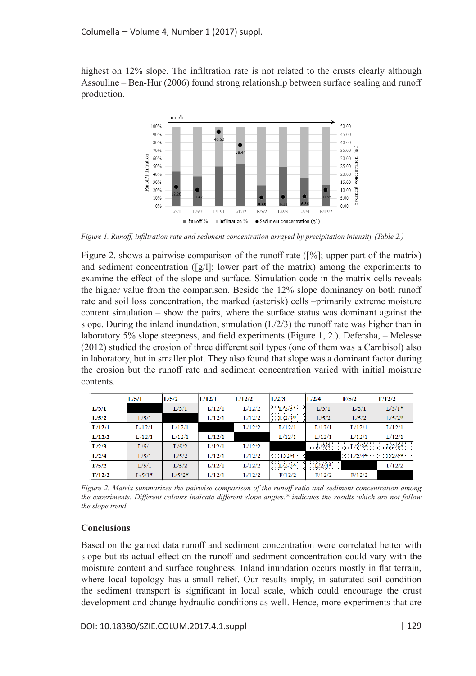highest on 12% slope. The infiltration rate is not related to the crusts clearly although Assouline – Ben-Hur (2006) found strong relationship between surface sealing and runoff production.



*Figure 1. Runoff, infiltration rate and sediment concentration arrayed by precipitation intensity (Table 2.)*

Figure 2. shows a pairwise comparison of the runoff rate ([%]; upper part of the matrix) and sediment concentration ( $[g/1]$ ; lower part of the matrix) among the experiments to examine the effect of the slope and surface. Simulation code in the matrix cells reveals the higher value from the comparison. Beside the 12% slope dominancy on both runoff rate and soil loss concentration, the marked (asterisk) cells –primarily extreme moisture content simulation – show the pairs, where the surface status was dominant against the slope. During the inland inundation, simulation  $(L/2/3)$  the runoff rate was higher than in laboratory 5% slope steepness, and field experiments (Figure 1, 2.). Defersha, – Melesse (2012) studied the erosion of three different soil types (one of them was a Cambisol) also in laboratory, but in smaller plot. They also found that slope was a dominant factor during the erosion but the runoff rate and sediment concentration varied with initial moisture contents.

|        | L/5/1    | L/5/2    | L/12/1 | L/12/2 | L/2/3    | L/2/4    | F/5/2    | F/12/2   |
|--------|----------|----------|--------|--------|----------|----------|----------|----------|
| L/5/1  |          | L/5/1    | L/12/1 | L/12/2 | $L/2/3*$ | L/5/1    | L/5/1    | $L/5/1*$ |
| L/5/2  | L/5/1    |          | L/12/1 | L/12/2 | $L/2/3*$ | L/5/2    | L/5/2    | $L/5/2*$ |
| L/12/1 | L/12/1   | L/12/1   |        | L/12/2 | L/12/1   | L/12/1   | L/12/1   | L/12/1   |
| L/12/2 | L/12/1   | L/12/1   | L/12/1 |        | L/12/1   | L/12/1   | L/12/1   | L/12/1   |
| L/2/3  | L/5/1    | L/5/2    | L/12/1 | L/12/2 |          | L/2/3    | 1./2/3*  | $L/2/3*$ |
| L/2/4  | L/5/1    | L/5/2    | L/12/1 | L/12/2 | L/2/4    |          | $L/2/4*$ | $L/2/4*$ |
| F/5/2  | L/5/1    | L/5/2    | L/12/1 | L/12/2 | $L/2/3*$ | $1/2/4*$ |          | F/12/2   |
| F/12/2 | $L/5/1*$ | $L/5/2*$ | L/12/1 | L/12/2 | F/12/2   | F/12/2   | F/12/2   |          |

*Figure 2. Matrix summarizes the pairwise comparison of the runoff ratio and sediment concentration among the experiments. Different colours indicate different slope angles.\* indicates the results which are not follow the slope trend*

### **Conclusions**

Based on the gained data runoff and sediment concentration were correlated better with slope but its actual effect on the runoff and sediment concentration could vary with the moisture content and surface roughness. Inland inundation occurs mostly in flat terrain, where local topology has a small relief. Our results imply, in saturated soil condition the sediment transport is significant in local scale, which could encourage the crust development and change hydraulic conditions as well. Hence, more experiments that are